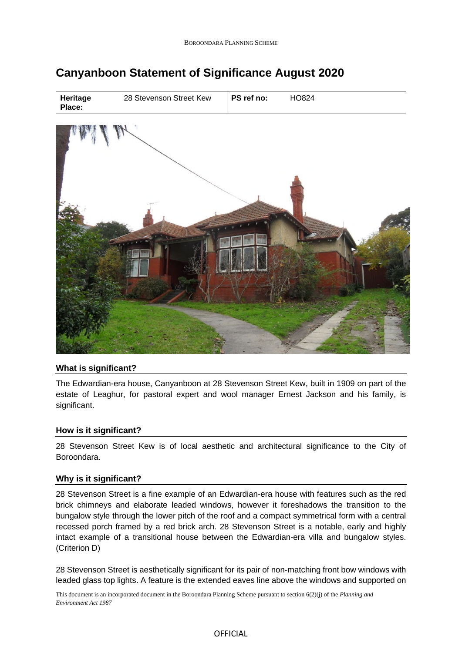# **Canyanboon Statement of Significance August 2020**



## **What is significant?**

The Edwardian-era house, Canyanboon at 28 Stevenson Street Kew, built in 1909 on part of the estate of Leaghur, for pastoral expert and wool manager Ernest Jackson and his family, is significant.

## **How is it significant?**

28 Stevenson Street Kew is of local aesthetic and architectural significance to the City of Boroondara.

## **Why is it significant?**

28 Stevenson Street is a fine example of an Edwardian-era house with features such as the red brick chimneys and elaborate leaded windows, however it foreshadows the transition to the bungalow style through the lower pitch of the roof and a compact symmetrical form with a central recessed porch framed by a red brick arch. 28 Stevenson Street is a notable, early and highly intact example of a transitional house between the Edwardian-era villa and bungalow styles. (Criterion D)

28 Stevenson Street is aesthetically significant for its pair of non-matching front bow windows with leaded glass top lights. A feature is the extended eaves line above the windows and supported on

This document is an incorporated document in the Boroondara Planning Scheme pursuant to section 6(2)(j) of the *Planning and Environment Act 1987*

#### **OFFICIAL**